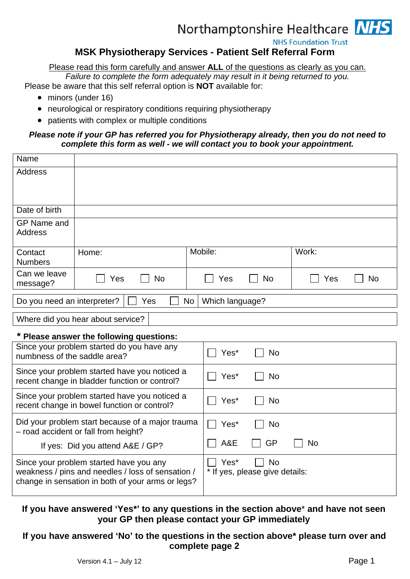## Northamptonshire Healthcare NHS

**NHS Foundation Trust** 

### **MSK Physiotherapy Services - Patient Self Referral Form**

Please read this form carefully and answer **ALL** of the questions as clearly as you can.

*Failure to complete the form adequately may result in it being returned to you.* 

Please be aware that this self referral option is **NOT** available for:

- minors (under 16)
- neurological or respiratory conditions requiring physiotherapy
- patients with complex or multiple conditions

#### *Please note if your GP has referred you for Physiotherapy already, then you do not need to complete this form as well - we will contact you to book your appointment.*

| Name                                                                                                                                              |                                                                                          |                                                     |           |
|---------------------------------------------------------------------------------------------------------------------------------------------------|------------------------------------------------------------------------------------------|-----------------------------------------------------|-----------|
| <b>Address</b>                                                                                                                                    |                                                                                          |                                                     |           |
| Date of birth                                                                                                                                     |                                                                                          |                                                     |           |
| <b>GP Name and</b><br><b>Address</b>                                                                                                              |                                                                                          |                                                     |           |
| Contact<br><b>Numbers</b>                                                                                                                         | Home:                                                                                    | Mobile:<br>Work:                                    |           |
| Can we leave<br>message?                                                                                                                          | <b>No</b><br>Yes                                                                         | Yes<br><b>No</b><br>Yes                             | <b>No</b> |
| Do you need an interpreter?<br><b>No</b><br>Which language?<br>Yes                                                                                |                                                                                          |                                                     |           |
| Where did you hear about service?                                                                                                                 |                                                                                          |                                                     |           |
| * Please answer the following questions:                                                                                                          |                                                                                          |                                                     |           |
| Since your problem started do you have any<br>numbness of the saddle area?                                                                        |                                                                                          | <b>No</b><br>Yes*                                   |           |
| Since your problem started have you noticed a<br>recent change in bladder function or control?                                                    |                                                                                          | <b>No</b><br>Yes*                                   |           |
| Since your problem started have you noticed a<br>recent change in bowel function or control?                                                      |                                                                                          | <b>No</b><br>Yes*                                   |           |
|                                                                                                                                                   | Did your problem start because of a major trauma<br>- road accident or fall from height? | <b>No</b><br>Yes*                                   |           |
| If yes: Did you attend A&E / GP?                                                                                                                  |                                                                                          | A&E<br>GP<br><b>No</b>                              |           |
| Since your problem started have you any<br>weakness / pins and needles / loss of sensation /<br>change in sensation in both of your arms or legs? |                                                                                          | Yes*<br><b>No</b><br>* If yes, please give details: |           |

#### **If you have answered 'Yes\*' to any questions in the section above**\* **and have not seen your GP then please contact your GP immediately**

#### **If you have answered 'No' to the questions in the section above\* please turn over and complete page 2**